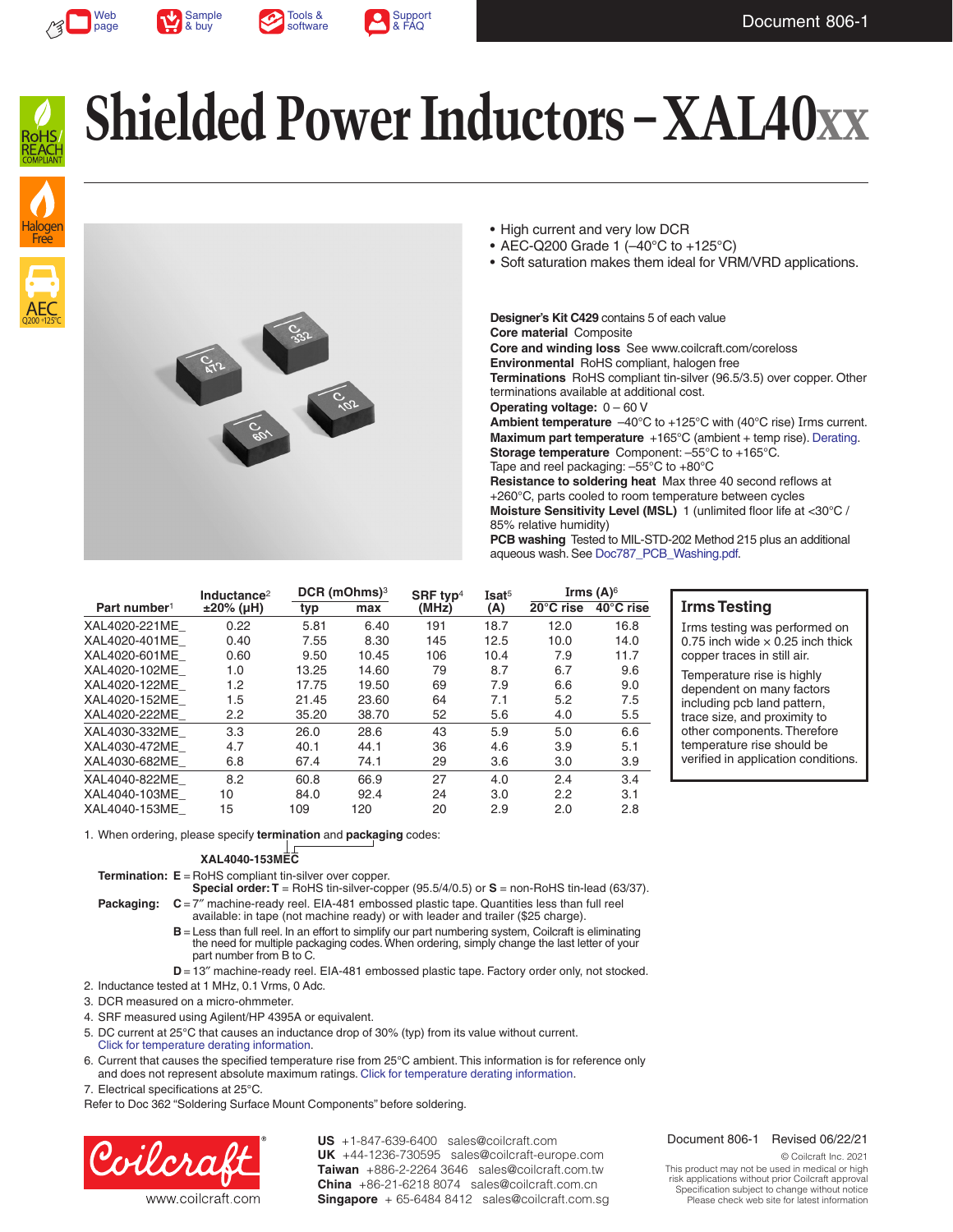











- High current and very low DCR
- AEC-Q200 Grade 1 (–40°C to +125°C)
- Soft saturation makes them ideal for VRM/VRD applications.

**Designer's Kit C429** contains 5 of each value **Core material** Composite **Core and winding loss** See www.coilcraft.com/coreloss **Environmental** RoHS compliant, halogen free **Terminations** RoHS compliant tin-silver (96.5/3.5) over copper. Other terminations available at additional cost. **Operating voltage:** 0 – 60 V **Ambient temperature**  $-40^{\circ}$ C to  $+125^{\circ}$ C with (40°C rise) Irms current. **Maximum part temperature** +165°C (ambient + temp rise). [Derating.](http://www.coilcraft.com/apps/compare/compare_power.cfm) **Storage temperature** Component: –55°C to +165°C. Tape and reel packaging: –55°C to +80°C **Resistance to soldering heat** Max three 40 second reflows at +260°C, parts cooled to room temperature between cycles **Moisture Sensitivity Level (MSL)** 1 (unlimited floor life at <30°C /

85% relative humidity)

**PCB washing** Tested to MIL-STD-202 Method 215 plus an additional aqueous wash. See [Doc787\\_PCB\\_Washing.pdf](http://www.coilcraft.com/pdfs/Doc787_PCB_Washing.pdf).

|                          | Inductance <sup>2</sup> |       | DCR (mOhms) <sup>3</sup> | SRF typ <sup>4</sup> | Isat <sup>5</sup> | Irms (A) $6$ |           |
|--------------------------|-------------------------|-------|--------------------------|----------------------|-------------------|--------------|-----------|
| Part number <sup>1</sup> | $±20\%$ (µH)            | typ   | max                      | (MHz)                | (A)               | 20°C rise    | 40°C rise |
| XAL4020-221ME            | 0.22                    | 5.81  | 6.40                     | 191                  | 18.7              | 12.0         | 16.8      |
| XAL4020-401ME            | 0.40                    | 7.55  | 8.30                     | 145                  | 12.5              | 10.0         | 14.0      |
| XAL4020-601ME            | 0.60                    | 9.50  | 10.45                    | 106                  | 10.4              | 7.9          | 11.7      |
| XAL4020-102ME            | 1.0                     | 13.25 | 14.60                    | 79                   | 8.7               | 6.7          | 9.6       |
| XAL4020-122ME            | 1.2                     | 17.75 | 19.50                    | 69                   | 7.9               | 6.6          | 9.0       |
| XAL4020-152ME            | 1.5                     | 21.45 | 23.60                    | 64                   | 7.1               | 5.2          | 7.5       |
| XAL4020-222ME            | 2.2                     | 35.20 | 38.70                    | 52                   | 5.6               | 4.0          | 5.5       |
| XAL4030-332ME            | 3.3                     | 26.0  | 28.6                     | 43                   | 5.9               | 5.0          | 6.6       |
| XAL4030-472ME            | 4.7                     | 40.1  | 44.1                     | 36                   | 4.6               | 3.9          | 5.1       |
| XAL4030-682ME            | 6.8                     | 67.4  | 74.1                     | 29                   | 3.6               | 3.0          | 3.9       |
| XAL4040-822ME            | 8.2                     | 60.8  | 66.9                     | 27                   | 4.0               | 2.4          | 3.4       |
| XAL4040-103ME            | 10                      | 84.0  | 92.4                     | 24                   | 3.0               | 2.2          | 3.1       |
| XAL4040-153ME            | 15                      | 109   | 120                      | 20                   | 2.9               | 2.0          | 2.8       |

### **Irms Testing**

Irms testing was performed on 0.75 inch wide  $\times$  0.25 inch thick copper traces in still air.

Temperature rise is highly dependent on many factors including pcb land pattern, trace size, and proximity to other components. Therefore temperature rise should be verified in application conditions.

1. When ordering, please specify **termination** and **packaging** codes:

### **XAL4040-153MEC**

**Termination: E** = RoHS compliant tin-silver over copper.

**Special order: T** = RoHS tin-silver-copper (95.5/4/0.5) or **S** = non-RoHS tin-lead (63/37). **Packaging:**  $C = 7<sup>′</sup>$  machine-ready reel. EIA-481 embossed plastic tape. Quantities less than full reel

available: in tape (not machine ready) or with leader and trailer (\$25 charge).

- **B** = Less than full reel. In an effort to simplify our part numbering system, Coilcraft is eliminating the need for multiple packaging codes. When ordering, simply change the last letter of your part number from B to C.
- **D** = 13" machine-ready reel. EIA-481 embossed plastic tape. Factory order only, not stocked.
- 2. Inductance tested at 1 MHz, 0.1 Vrms, 0 Adc.

3. DCR measured on a micro-ohmmeter.

- 4. SRF measured using Agilent/HP 4395A or equivalent.
- 5. DC current at 25°C that causes an inductance drop of 30% (typ) from its value without current. [Click for temperature derating information.](http://www.coilcraft.com/apps/compare/compare_power.cfm)
- 6. Current that causes the specified temperature rise from 25°C ambient. This information is for reference only and does not represent absolute maximum ratings. [Click for temperature derating information](http://www.coilcraft.com/apps/compare/compare_power.cfm).
- 7. Electrical specifications at 25°C.

Refer to Doc 362 "Soldering Surface Mount Components" before soldering.



US +1-847-639-6400 sales@coilcraft.com UK +44-1236-730595 sales@coilcraft-europe.com +886-2-2264 3646 sales@coilcraft.com.tw **Taiwan** +86-21-6218 8074 sales@coilcraft.com.cn **China** Singapore + 65-6484 8412 sales@coilcraft.com.sg

#### Document 806-1 Revised 06/22/21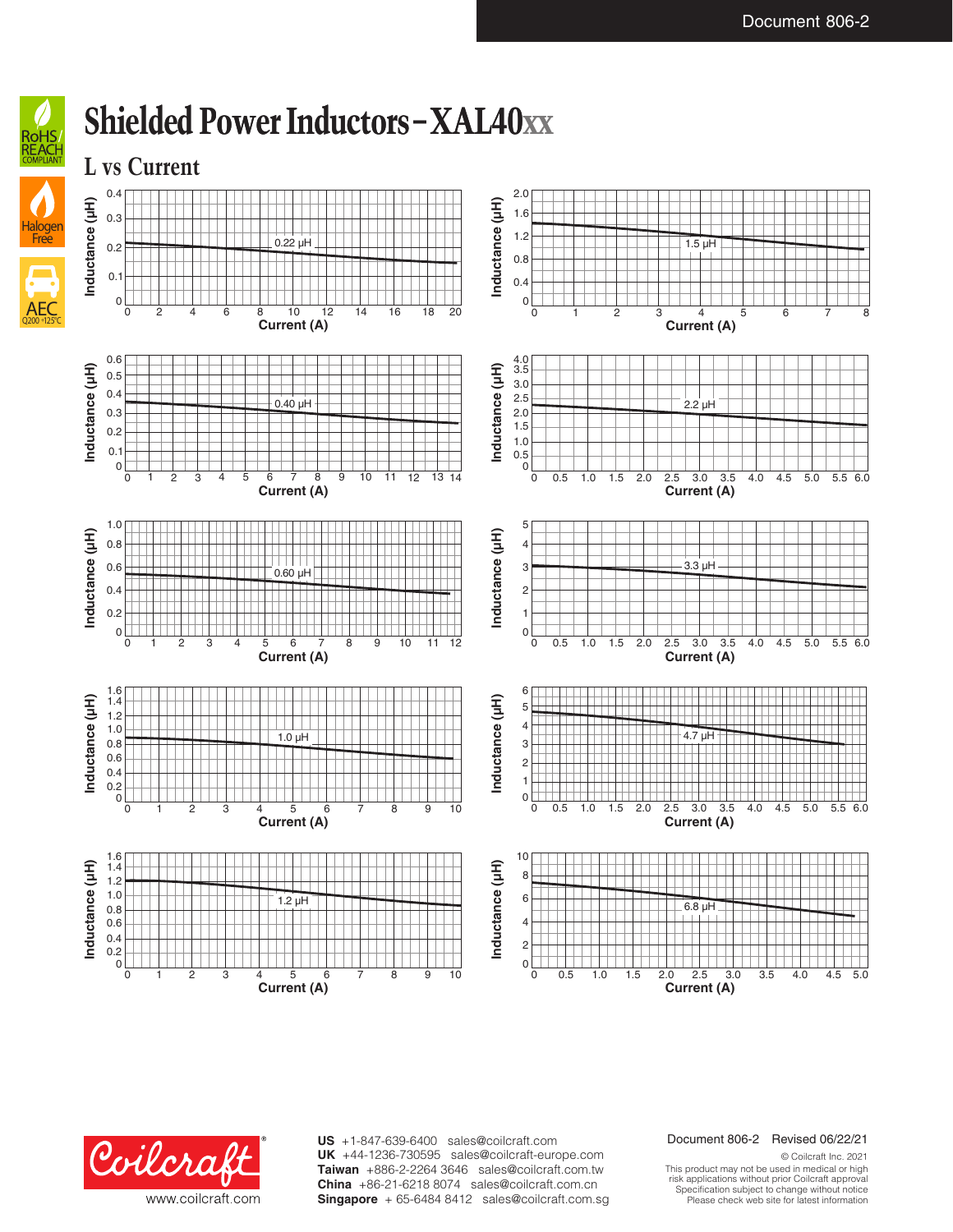





**US** +1-847-639-6400 sales@coilcraft.com +44-1236-730595 sales@coilcraft-europe.com **UK** +886-2-2264 3646 sales@coilcraft.com.tw **Taiwan** +86-21-6218 8074 sales@coilcraft.com.cn **China** Singapore + 65-6484 8412 sales@coilcraft.com.sg

#### Document 806-2 Revised 06/22/21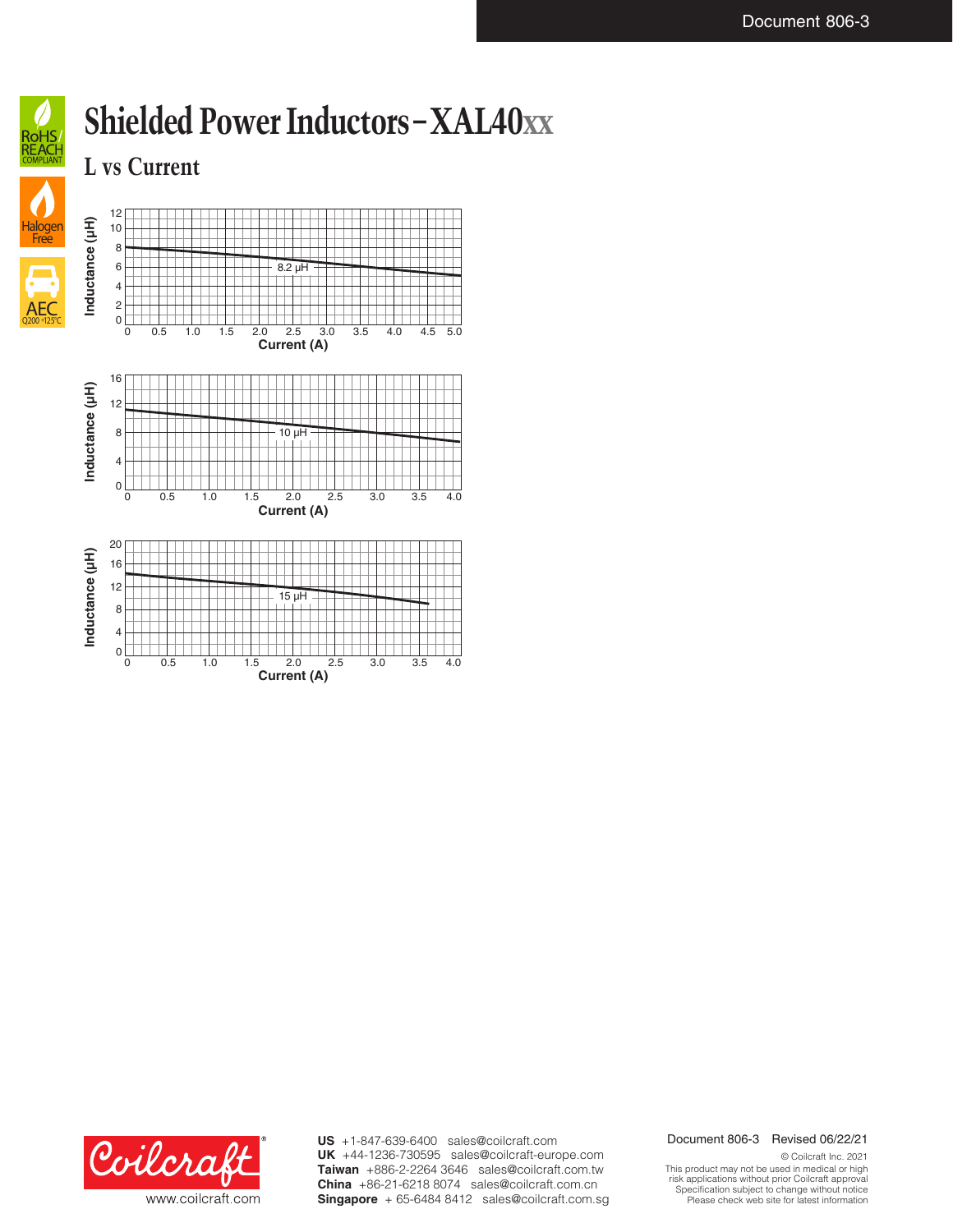

**L vs Current**



**Current (A)**



**US** +1-847-639-6400 sales@coilcraft.com +44-1236-730595 sales@coilcraft-europe.com **UK** +886-2-2264 3646 sales@coilcraft.com.tw **Taiwan** +86-21-6218 8074 sales@coilcraft.com.cn **China** Singapore + 65-6484 8412 sales@coilcraft.com.sg

### Document 806-3 Revised 06/22/21